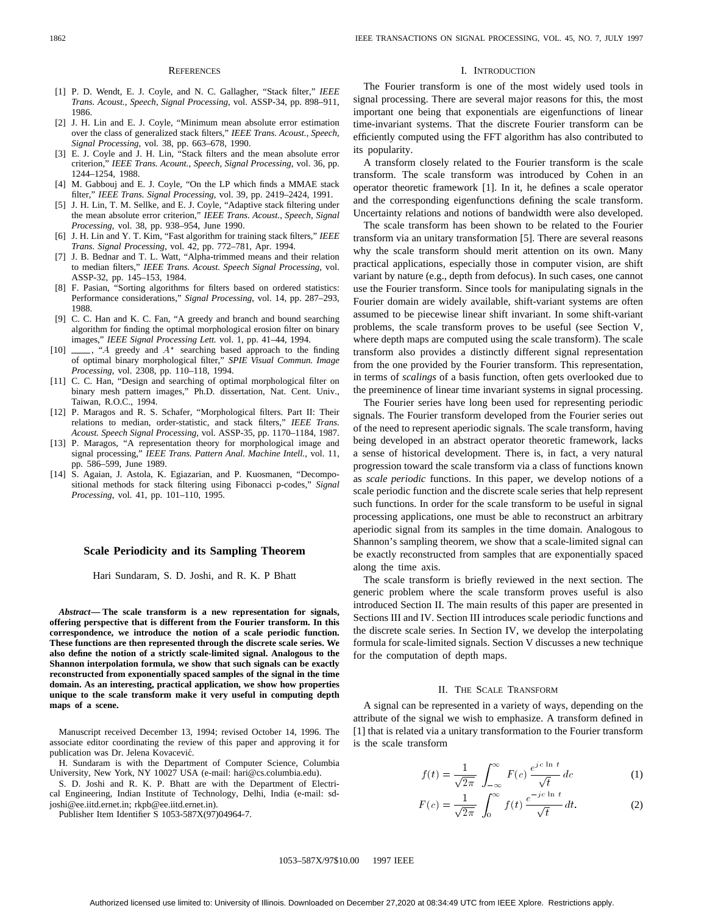#### **REFERENCES**

- [1] P. D. Wendt, E. J. Coyle, and N. C. Gallagher, "Stack filter," *IEEE Trans. Acoust., Speech, Signal Processing*, vol. ASSP-34, pp. 898–911, 1986.
- [2] J. H. Lin and E. J. Coyle, "Minimum mean absolute error estimation over the class of generalized stack filters," *IEEE Trans. Acoust., Speech, Signal Processing*, vol. 38, pp. 663–678, 1990.
- [3] E. J. Coyle and J. H. Lin, "Stack filters and the mean absolute error criterion," *IEEE Trans. Acount., Speech, Signal Processing*, vol. 36, pp. 1244–1254, 1988.
- [4] M. Gabbouj and E. J. Coyle, "On the LP which finds a MMAE stack filter," *IEEE Trans. Signal Processing*, vol. 39, pp. 2419–2424, 1991.
- [5] J. H. Lin, T. M. Sellke, and E. J. Coyle, "Adaptive stack filtering under the mean absolute error criterion," *IEEE Trans. Acoust., Speech, Signal Processing*, vol. 38, pp. 938–954, June 1990.
- [6] J. H. Lin and Y. T. Kim, "Fast algorithm for training stack filters," *IEEE Trans. Signal Processing*, vol. 42, pp. 772–781, Apr. 1994.
- [7] J. B. Bednar and T. L. Watt, "Alpha-trimmed means and their relation to median filters," *IEEE Trans. Acoust. Speech Signal Processing*, vol. ASSP-32, pp. 145–153, 1984.
- [8] F. Pasian, "Sorting algorithms for filters based on ordered statistics: Performance considerations," *Signal Processing*, vol. 14, pp. 287–293, 1988.
- [9] C. C. Han and K. C. Fan, "A greedy and branch and bound searching algorithm for finding the optimal morphological erosion filter on binary images," *IEEE Signal Processing Lett.* vol. 1, pp. 41–44, 1994.
- $\Box$ , "A greedy and  $A^*$  searching based approach to the finding of optimal binary morphological filter," *SPIE Visual Commun. Image Processing*, vol. 2308, pp. 110–118, 1994.
- [11] C. C. Han, "Design and searching of optimal morphological filter on binary mesh pattern images," Ph.D. dissertation, Nat. Cent. Univ., Taiwan, R.O.C., 1994.
- [12] P. Maragos and R. S. Schafer, "Morphological filters. Part II: Their relations to median, order-statistic, and stack filters," *IEEE Trans. Acoust. Speech Signal Processing*, vol. ASSP-35, pp. 1170–1184, 1987.
- [13] P. Maragos, "A representation theory for morphological image and signal processing," *IEEE Trans. Pattern Anal. Machine Intell.*, vol. 11, pp. 586–599, June 1989.
- [14] S. Agaian, J. Astola, K. Egiazarian, and P. Kuosmanen, "Decompositional methods for stack filtering using Fibonacci p-codes," *Signal Processing*, vol. 41, pp. 101–110, 1995.

### **Scale Periodicity and its Sampling Theorem**

Hari Sundaram, S. D. Joshi, and R. K. P Bhatt

*Abstract—* **The scale transform is a new representation for signals, offering perspective that is different from the Fourier transform. In this correspondence, we introduce the notion of a scale periodic function. These functions are then represented through the discrete scale series. We also define the notion of a strictly scale-limited signal. Analogous to the Shannon interpolation formula, we show that such signals can be exactly reconstructed from exponentially spaced samples of the signal in the time domain. As an interesting, practical application, we show how properties unique to the scale transform make it very useful in computing depth maps of a scene.**

Manuscript received December 13, 1994; revised October 14, 1996. The associate editor coordinating the review of this paper and approving it for publication was Dr. Jelena Kovacević.

H. Sundaram is with the Department of Computer Science, Columbia University, New York, NY 10027 USA (e-mail: hari@cs.columbia.edu).

S. D. Joshi and R. K. P. Bhatt are with the Department of Electrical Engineering, Indian Institute of Technology, Delhi, India (e-mail: sdjoshi@ee.iitd.ernet.in; rkpb@ee.iitd.ernet.in).

Publisher Item Identifier S 1053-587X(97)04964-7.

### I. INTRODUCTION

The Fourier transform is one of the most widely used tools in signal processing. There are several major reasons for this, the most important one being that exponentials are eigenfunctions of linear time-invariant systems. That the discrete Fourier transform can be efficiently computed using the FFT algorithm has also contributed to its popularity.

A transform closely related to the Fourier transform is the scale transform. The scale transform was introduced by Cohen in an operator theoretic framework [1]. In it, he defines a scale operator and the corresponding eigenfunctions defining the scale transform. Uncertainty relations and notions of bandwidth were also developed.

The scale transform has been shown to be related to the Fourier transform via an unitary transformation [5]. There are several reasons why the scale transform should merit attention on its own. Many practical applications, especially those in computer vision, are shift variant by nature (e.g., depth from defocus). In such cases, one cannot use the Fourier transform. Since tools for manipulating signals in the Fourier domain are widely available, shift-variant systems are often assumed to be piecewise linear shift invariant. In some shift-variant problems, the scale transform proves to be useful (see Section V, where depth maps are computed using the scale transform). The scale transform also provides a distinctly different signal representation from the one provided by the Fourier transform. This representation, in terms of *scalings* of a basis function, often gets overlooked due to the preeminence of linear time invariant systems in signal processing.

The Fourier series have long been used for representing periodic signals. The Fourier transform developed from the Fourier series out of the need to represent aperiodic signals. The scale transform, having being developed in an abstract operator theoretic framework, lacks a sense of historical development. There is, in fact, a very natural progression toward the scale transform via a class of functions known as *scale periodic* functions. In this paper, we develop notions of a scale periodic function and the discrete scale series that help represent such functions. In order for the scale transform to be useful in signal processing applications, one must be able to reconstruct an arbitrary aperiodic signal from its samples in the time domain. Analogous to Shannon's sampling theorem, we show that a scale-limited signal can be exactly reconstructed from samples that are exponentially spaced along the time axis.

The scale transform is briefly reviewed in the next section. The generic problem where the scale transform proves useful is also introduced Section II. The main results of this paper are presented in Sections III and IV. Section III introduces scale periodic functions and the discrete scale series. In Section IV, we develop the interpolating formula for scale-limited signals. Section V discusses a new technique for the computation of depth maps.

#### II. THE SCALE TRANSFORM

A signal can be represented in a variety of ways, depending on the attribute of the signal we wish to emphasize. A transform defined in [1] that is related via a unitary transformation to the Fourier transform is the scale transform

$$
f(t) = \frac{1}{\sqrt{2\pi}} \int_{-\infty}^{\infty} F(c) \frac{e^{jc \ln t}}{\sqrt{t}} dc
$$
 (1)

$$
F(c) = \frac{1}{\sqrt{2\pi}} \int_0^\infty f(t) \, \frac{e^{-jc \ln t}}{\sqrt{t}} \, dt. \tag{2}
$$

#### 1053–587X/97\$10.00 1997 IEEE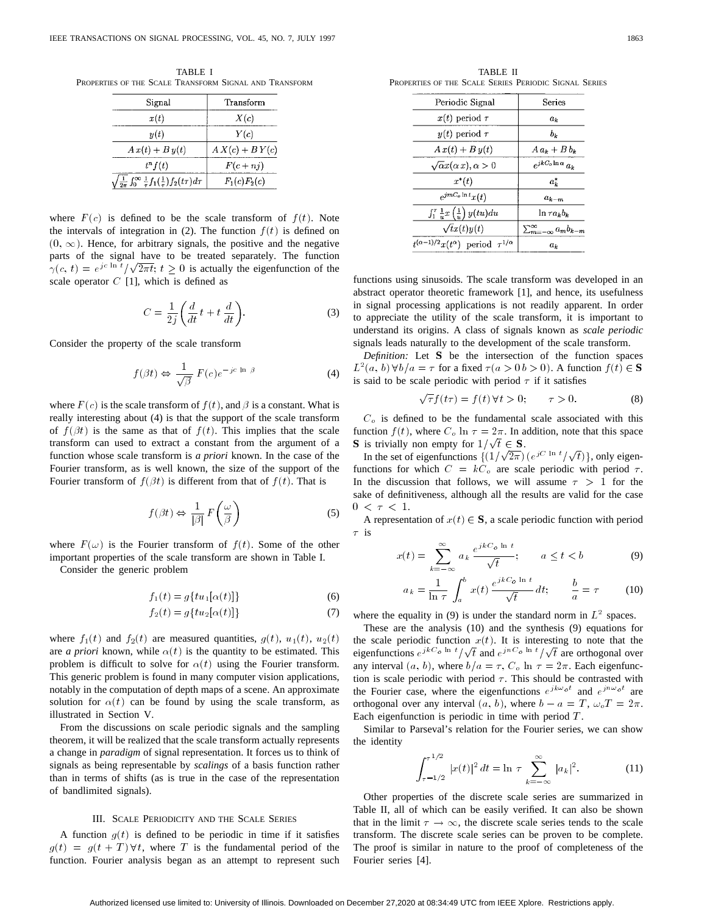TABLE I PROPERTIES OF THE SCALE TRANSFORM SIGNAL AND TRANSFORM

| Signal                                                                                    | Transform         |
|-------------------------------------------------------------------------------------------|-------------------|
| x(t)                                                                                      | X(c)              |
| y(t)                                                                                      | Y(c)              |
| $A x(t) + B y(t)$                                                                         | $A X(c) + B Y(c)$ |
| $t^n f(t)$                                                                                | $F(c + nj)$       |
| $\sqrt{\frac{1}{2\pi}} \int_0^\infty \frac{1}{\tau} f_1(\frac{1}{\tau}) f_2(t\tau) d\tau$ | $F_1(c)F_2(c)$    |

where  $F(c)$  is defined to be the scale transform of  $f(t)$ . Note the intervals of integration in (2). The function  $f(t)$  is defined on  $(0, \infty)$ . Hence, for arbitrary signals, the positive and the negative parts of the signal have to be treated separately. The function parts of the signal have to be treated separately. The function<br>  $\gamma(c, t) = e^{jc \ln t} / \sqrt{2\pi t}$ ;  $t \ge 0$  is actually the eigenfunction of the scale operator  $C$  [1], which is defined as

$$
C = \frac{1}{2j} \left( \frac{d}{dt} t + t \frac{d}{dt} \right).
$$
 (3)

Consider the property of the scale transform

try of the scale transform  

$$
f(\beta t) \Leftrightarrow \frac{1}{\sqrt{\beta}} F(c)e^{-jc \ln \beta}
$$
 (4)

where  $F(c)$  is the scale transform of  $f(t)$ , and  $\beta$  is a constant. What is really interesting about (4) is that the support of the scale transform of  $f(\beta t)$  is the same as that of  $f(t)$ . This implies that the scale transform can used to extract a constant from the argument of a function whose scale transform is *a priori* known. In the case of the Fourier transform, as is well known, the size of the support of the Fourier transform of  $f(\beta t)$  is different from that of  $f(t)$ . That is

$$
f(\beta t) \Leftrightarrow \frac{1}{|\beta|} F\left(\frac{\omega}{\beta}\right) \tag{5}
$$

where  $F(\omega)$  is the Fourier transform of  $f(t)$ . Some of the other important properties of the scale transform are shown in Table I.

Consider the generic problem

$$
f_1(t) = g\{tu_1[\alpha(t)]\}\tag{6}
$$

$$
f_2(t) = g\{tu_2[\alpha(t)]\}
$$
 (7)

where  $f_1(t)$  and  $f_2(t)$  are measured quantities,  $g(t)$ ,  $u_1(t)$ ,  $u_2(t)$ are *a priori* known, while  $\alpha(t)$  is the quantity to be estimated. This problem is difficult to solve for  $\alpha(t)$  using the Fourier transform. This generic problem is found in many computer vision applications, notably in the computation of depth maps of a scene. An approximate solution for  $\alpha(t)$  can be found by using the scale transform, as illustrated in Section V.

From the discussions on scale periodic signals and the sampling theorem, it will be realized that the scale transform actually represents a change in *paradigm* of signal representation. It forces us to think of signals as being representable by *scalings* of a basis function rather than in terms of shifts (as is true in the case of the representation of bandlimited signals).

### III. SCALE PERIODICITY AND THE SCALE SERIES

A function  $g(t)$  is defined to be periodic in time if it satisfies  $g(t) = g(t + T) \forall t$ , where T is the fundamental period of the function. Fourier analysis began as an attempt to represent such

TABLE II PROPERTIES OF THE SCALE SERIES PERIODIC SIGNAL SERIES

| Periodic Signal                                                | Series                                  |
|----------------------------------------------------------------|-----------------------------------------|
| $x(t)$ period $\tau$                                           | $a_k$                                   |
| $y(t)$ period $\tau$                                           | $b_k$                                   |
| $A x(t) + B y(t)$                                              | $A a_k + B b_k$                         |
| $\sqrt{\alpha}x(\alpha x), \alpha > 0$                         | $e^{jkC_0\ln\alpha}a_k$                 |
| $x^*(t)$                                                       | $a_{k}^*$                               |
| $e^{jmC_o \ln t}x(t)$                                          | $a_{k-m}$                               |
| $\int_1^{\tau} \frac{1}{u} x\left(\frac{1}{u}\right) y(tu) du$ | $\ln \tau a_k b_k$                      |
| $\sqrt{tx(t)}y(t)$                                             | $\sum_{m=-\infty}^{\infty} a_m b_{k-m}$ |
| $t^{(\alpha-1)/2}x(t^{\alpha})$ period $\tau^{1/\alpha}$       | $a_k$                                   |

functions using sinusoids. The scale transform was developed in an abstract operator theoretic framework [1], and hence, its usefulness in signal processing applications is not readily apparent. In order to appreciate the utility of the scale transform, it is important to understand its origins. A class of signals known as *scale periodic* signals leads naturally to the development of the scale transform.

*Definition:* Let S be the intersection of the function spaces  $L^2(a, b) \forall b/a = \tau$  for a fixed  $\tau(a > 0 b > 0)$ . A function  $f(t) \in S$ is said to be scale periodic with period  $\tau$  if it satisfies

$$
\sqrt{\tau}f(t\tau) = f(t)\,\forall\, t > 0; \qquad \tau > 0. \tag{8}
$$

 $C<sub>o</sub>$  is defined to be the fundamental scale associated with this function  $f(t)$ , where  $C_o$  ln  $\tau = 2\pi$ . In addition, note that this space S is trivially non empty for  $1/\sqrt{t} \in S$ .

In the set of eigenfunctions  $\{(\frac{1}{\sqrt{2\pi}}) (e^{jC \ln t}/\sqrt{t})\}$ , only eigenfunctions for which  $C = kC_o$  are scale periodic with period  $\tau$ . In the discussion that follows, we will assume  $\tau > 1$  for the sake of definitiveness, although all the results are valid for the case  $0 < \tau < 1$ .

A representation of  $x(t) \in S$ , a scale periodic function with period  $\tau$  is

$$
x(t) = \sum_{k=-\infty}^{\infty} a_k \frac{e^{jkC_o \ln t}}{\sqrt{t}}; \qquad a \le t < b \tag{9}
$$

$$
a_k = \frac{1}{\ln \tau} \int_a^b x(t) \, \frac{e^{jkC_o \ln t}}{\sqrt{t}} \, dt; \qquad \frac{b}{a} = \tau \tag{10}
$$

where the equality in (9) is under the standard norm in  $L^2$  spaces.

These are the analysis (10) and the synthesis (9) equations for the scale periodic function  $x(t)$ . It is interesting to note that the eigenfunctions  $e^{jkC_0 \ln t}/\sqrt{t}$  and  $e^{jnC_0 \ln t}/\sqrt{t}$  are orthogonal over any interval  $(a, b)$ , where  $b/a = \tau$ ,  $C_o$  ln  $\tau = 2\pi$ . Each eigenfunction is scale periodic with period  $\tau$ . This should be contrasted with the Fourier case, where the eigenfunctions  $e^{jk\omega_0 t}$  and  $e^{jn\omega_0 t}$  are orthogonal over any interval  $(a, b)$ , where  $b - a = T$ ,  $\omega_o T = 2\pi$ . Each eigenfunction is periodic in time with period  $T$ .

Similar to Parseval's relation for the Fourier series, we can show the identity

$$
\int_{\tau^{-1/2}}^{\tau^{1/2}} |x(t)|^2 dt = \ln \tau \sum_{k=-\infty}^{\infty} |a_k|^2.
$$
 (11)

Other properties of the discrete scale series are summarized in Table II, all of which can be easily verified. It can also be shown that in the limit  $\tau \to \infty$ , the discrete scale series tends to the scale transform. The discrete scale series can be proven to be complete. The proof is similar in nature to the proof of completeness of the Fourier series [4].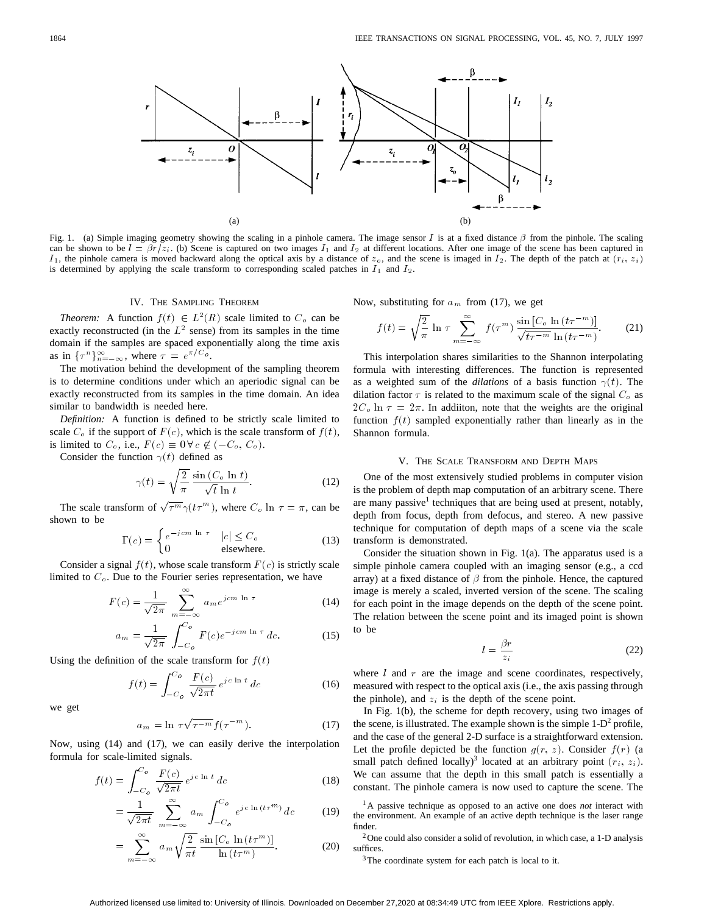

Fig. 1. (a) Simple imaging geometry showing the scaling in a pinhole camera. The image sensor I is at a fixed distance  $\beta$  from the pinhole. The scaling can be shown to be  $l = \beta r/z_i$ . (b) Scene is captured on two images  $I_1$  and  $I_2$  at different locations. After one image of the scene has been captured in  $I_1$ , the pinhole camera is moved backward along the optical axis by a distance of  $z_0$ , and the scene is imaged in  $I_2$ . The depth of the patch at  $(r_i, z_i)$ is determined by applying the scale transform to corresponding scaled patches in  $I_1$  and  $I_2$ .

## IV. THE SAMPLING THEOREM

*Theorem:* A function  $f(t) \in L^2(R)$  scale limited to  $C_o$  can be exactly reconstructed (in the  $L^2$  sense) from its samples in the time domain if the samples are spaced exponentially along the time axis as in  $\{\tau^n\}_{n=-\infty}^{\infty}$ , where  $\tau = e^{\pi/C_o}$ .

The motivation behind the development of the sampling theorem is to determine conditions under which an aperiodic signal can be exactly reconstructed from its samples in the time domain. An idea similar to bandwidth is needed here.

*Definition:* A function is defined to be strictly scale limited to scale  $C_o$  if the support of  $F(c)$ , which is the scale transform of  $f(t)$ , is limited to  $C_o$ , i.e.,  $F(c) \equiv 0 \,\forall c \notin (-C_o, C_o)$ .

Consider the function  $\gamma(t)$  defined as

$$
\gamma(t) = \sqrt{\frac{2}{\pi}} \frac{\sin(C_o \ln t)}{\sqrt{t} \ln t}.
$$
\n(12)

The scale transform of  $\sqrt{\tau^m} \gamma(t \tau^m)$ , where  $C_o$  ln  $\tau = \pi$ , can be shown to be

$$
\Gamma(c) = \begin{cases} e^{-j\,cm \ln \tau} & |c| \le C_o \\ 0 & \text{elsewhere.} \end{cases} \tag{13}
$$

Consider a signal  $f(t)$ , whose scale transform  $F(c)$  is strictly scale limited to  $C<sub>o</sub>$ . Due to the Fourier series representation, we have

$$
F(c) = \frac{1}{\sqrt{2\pi}} \sum_{m = -\infty}^{\infty} a_m e^{icm \ln \tau}
$$
 (14)

$$
a_m = \frac{1}{\sqrt{2\pi}} \int_{-C_o}^{C_o} F(c)e^{-jcm \ln \tau} dc.
$$
 (15)

Using the definition of the scale transform for  $f(t)$ 

$$
f(t) = \int_{-C_o}^{C_o} \frac{F(c)}{\sqrt{2\pi t}} e^{jc \ln t} dc
$$
 (16)

we get

$$
a_m = \ln \tau \sqrt{\tau^{-m}} f(\tau^{-m}). \tag{17}
$$

Now, using (14) and (17), we can easily derive the interpolation formula for scale-limited signals.

$$
f(t) = \int_{-C_o}^{C_o} \frac{F(c)}{\sqrt{2\pi t}} e^{jc \ln t} dc
$$
 (18)

$$
= \frac{1}{\sqrt{2\pi t}} \sum_{m=-\infty}^{\infty} a_m \int_{-C_o}^{C_o} e^{jc \ln{(t\tau^m)}} dc
$$
 (19)

$$
= \sum_{m=-\infty}^{\infty} a_m \sqrt{\frac{2}{\pi t}} \frac{\sin\left[C_o \ln\left(t\tau^m\right)\right]}{\ln\left(t\tau^m\right)}.
$$
 (20)

Now, substituting for  $a_m$  from (17), we get

$$
f(t) = \sqrt{\frac{2}{\pi}} \ln \tau \sum_{m = -\infty}^{\infty} f(\tau^m) \frac{\sin [C_o \ln (t\tau^{-m})]}{\sqrt{t\tau^{-m}} \ln (t\tau^{-m})}.
$$
 (21)

This interpolation shares similarities to the Shannon interpolating formula with interesting differences. The function is represented as a weighted sum of the *dilations* of a basis function  $\gamma(t)$ . The dilation factor  $\tau$  is related to the maximum scale of the signal  $C_o$  as  $2C_{o}$  ln  $\tau = 2\pi$ . In addition, note that the weights are the original function  $f(t)$  sampled exponentially rather than linearly as in the Shannon formula.

### V. THE SCALE TRANSFORM AND DEPTH MAPS

One of the most extensively studied problems in computer vision is the problem of depth map computation of an arbitrary scene. There are many passive techniques that are being used at present, notably, depth from focus, depth from defocus, and stereo. A new passive technique for computation of depth maps of a scene via the scale transform is demonstrated.

Consider the situation shown in Fig. 1(a). The apparatus used is a simple pinhole camera coupled with an imaging sensor (e.g., a ccd array) at a fixed distance of  $\beta$  from the pinhole. Hence, the captured image is merely a scaled, inverted version of the scene. The scaling for each point in the image depends on the depth of the scene point. The relation between the scene point and its imaged point is shown to be

$$
l = \frac{\beta r}{z_i} \tag{22}
$$

where  $l$  and  $r$  are the image and scene coordinates, respectively, measured with respect to the optical axis (i.e., the axis passing through the pinhole), and  $z_i$  is the depth of the scene point.

In Fig. 1(b), the scheme for depth recovery, using two images of the scene, is illustrated. The example shown is the simple  $1-D^2$  profile, and the case of the general 2-D surface is a straightforward extension. Let the profile depicted be the function  $g(r, z)$ . Consider  $f(r)$  (a small patch defined locally)<sup>3</sup> located at an arbitrary point  $(r_i, z_i)$ . We can assume that the depth in this small patch is essentially a constant. The pinhole camera is now used to capture the scene. The

1A passive technique as opposed to an active one does *not* interact with the environment. An example of an active depth technique is the laser range finder.

 $2$ One could also consider a solid of revolution, in which case, a 1-D analysis suffices.

<sup>3</sup>The coordinate system for each patch is local to it.